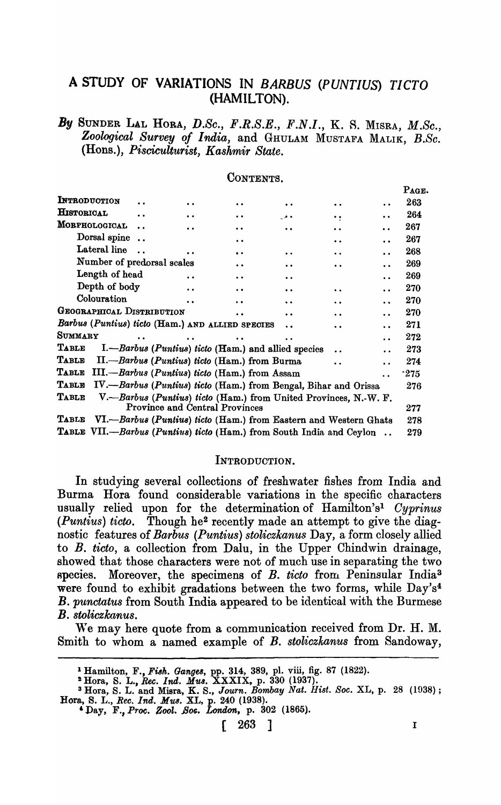## A STUDY OF VARIATIONS IN *BARBUS (PUNTIUS) TICTO*  (HAMILTON).

## *By* SUNDER LAL HORA, *D.Sc., F.R.S.E., F.N.I.,* K. S. MISRA, *M.Sc., Zoological Survey of India,* and GHULAM MUSTAFA MALIK, *B.Sc.*  (Hons.), *Pisciculturist, Kashmir State.*

|                                                                      |                      |                      |                                                                  |                      |                                           |                      | PAGE.  |
|----------------------------------------------------------------------|----------------------|----------------------|------------------------------------------------------------------|----------------------|-------------------------------------------|----------------------|--------|
| INTRODUCTION                                                         |                      |                      | $\bullet$                                                        | $\ddot{\phantom{0}}$ | $\ddot{\phantom{0}}$                      |                      | 263    |
| <b>HISTORICAL</b>                                                    |                      | . .                  | $\ddot{\bullet}$                                                 | . .                  | $\bullet\hspace{1mm} \bullet\hspace{1mm}$ |                      | 264    |
| MORPHOLOGICAL                                                        |                      | $\ddot{\phantom{0}}$ | $\ddot{\phantom{0}}$                                             | $\ddot{\phantom{0}}$ | $\ddot{\phantom{a}}$                      |                      | 267    |
| Dorsal spine                                                         | $\ddot{\phantom{a}}$ |                      | $\ddot{\phantom{a}}$                                             |                      | $\ddot{\phantom{a}}$                      |                      | 267    |
| Lateral line                                                         |                      |                      | $\ddot{\phantom{a}}$                                             | $\ddot{\phantom{a}}$ | $\ddot{\phantom{0}}$                      | $\ddot{\phantom{a}}$ | 268    |
| Number of predorsal scales                                           |                      |                      | $\ddot{\phantom{0}}$                                             | $\ddot{\phantom{0}}$ | $\ddot{\phantom{a}}$                      |                      | 269    |
| Length of head                                                       |                      |                      | $\ddot{\phantom{0}}$                                             | $\ddot{\phantom{a}}$ |                                           |                      | 269    |
| Depth of body                                                        |                      | $\ddot{\phantom{a}}$ | $\ddot{\phantom{a}}$                                             | $\ddot{\phantom{0}}$ | $\ddot{\phantom{a}}$                      |                      | 270    |
| Colouration                                                          |                      |                      | $\ddot{\phantom{0}}$                                             | $\ddot{\phantom{a}}$ | $\ddot{\phantom{0}}$                      |                      | 270    |
| GEOGRAPHICAL DISTRIBUTION                                            |                      |                      |                                                                  | $\ddot{\phantom{0}}$ | $\ddot{\phantom{0}}$                      |                      | 270    |
| Barbus (Puntius) ticto (Ham.) AND ALLIED SPECIES                     |                      |                      |                                                                  | $\ddot{\phantom{0}}$ | $\ddot{\phantom{0}}$                      |                      | 271    |
| Summary                                                              |                      |                      |                                                                  | $\cdot$ .            |                                           |                      | 272    |
| Table                                                                |                      |                      | I.—Barbus (Puntius) ticto (Ham.) and allied species              |                      |                                           |                      | 273    |
| Table                                                                |                      |                      | II.--Barbus (Puntius) ticto (Ham.) from Burma                    |                      | . .                                       |                      | 274    |
| Тавье                                                                |                      |                      | III.-Barbus (Puntius) ticto (Ham.) from Assam                    |                      |                                           |                      | $-275$ |
| Table                                                                |                      |                      | IV.-Barbus (Puntius) ticto (Ham.) from Bengal, Bihar and Orissa  |                      |                                           |                      | 276    |
| $\bf{{T}_{ABLE}}$                                                    |                      |                      | V.—Barbus (Puntius) ticto (Ham.) from United Provinces, N.-W. F. |                      |                                           |                      |        |
|                                                                      |                      |                      | <b>Province and Central Provinces</b>                            |                      |                                           |                      | 277    |
| Тавіе                                                                |                      |                      | VI.—Barbus (Puntius) ticto (Ham.) from Eastern and Western Ghats |                      |                                           |                      | 278    |
| TABLE VII.—Barbus (Puntius) ticto (Ham.) from South India and Ceylon |                      |                      |                                                                  |                      |                                           |                      | 279    |

### CONTENTS.

### INTRODUCTION.

In studying several collections of freshwater fishes from India and Burma Hora found considerable variations in the specific characters usually relied upon for the determination of Hamilton's<sup>1</sup> *Cyprinus (Puntius) ticto.* Though he2 recently made an attempt to give the diagnostic features of *Barbus (Puntius) stoliczkanus* Day, a form closely allied to B. *ticto,* a collection from Dalu, in the Upper Chindwin drainage, showed that those characters were not of much use in separating the two Rpecies. Moreover, the specimens of *B. ticto* from. Peninsular India3 were found to exhibit gradations between the two forms, while Day's<sup>4</sup> B. *punctatus* from South India appeared to be identical with the Burmese B. *stoliczkanus.* 

We may here quote from a communication received from Dr. H. M. Smith to whom a named example of *B. stoliczkanus* from Sandoway,

 $\lceil 263 \rceil$  I

<sup>&</sup>lt;sup>1</sup> Hamilton, F., Fish. *Ganges*, pp. 314, 389, pl. viii, fig. 87 (1822).

<sup>&#</sup>x27;Hora, S. L., *Ree. Ind. MU8.* XXXIX, p. 330 (1937).

<sup>3</sup> Hora, S. L. and Misra, K. S., *Journ. Bombay Nat. Hist. Soc.* XL, p. 28 (ID3S); Hora, S. L., *Bee. Ind. MU8.* XL, p. 240 (1938).

<sup>&#</sup>x27;Day, F., *PrOOf ZooZ • .BOG. London,* p. 302 (1865).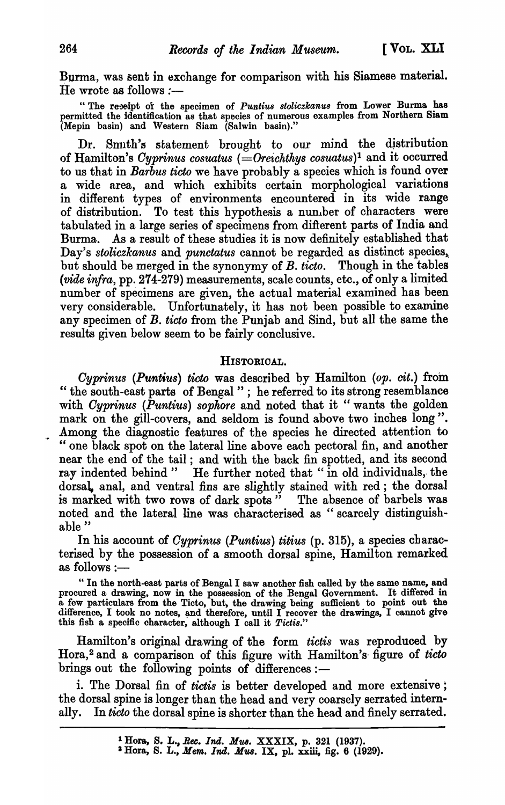Burma, was sent in exchange for comparison with his Siamese material. He wrote as follows  $:$ ---

"The receipt of the specimen of *Puntius stoliczkanus* from Lower Burma has permitted the identification as that species of numerous examples from Northern Siam (Mepin basin) and Western Siam (Salwin basin)."

Dr. Smith's statement brought to our mind the distribution of Hamilton's *Cyprinus cosuatus* (=Oreichthys cosuatus)<sup>1</sup> and it occurred to us that in *Barbus ticto* we have probably a species which is found over a wide area, and which exhibits certain morphological variations in different types of environments encountered in its wide range of distribution. To test this hypothesis a nunlber of characters were tabulated in a large series of specimens from difterent parts of India and Burma.. As a result of these studies it is now definitely established that Day's *stoliczkanus* and *punctatus* cannot be regarded as distinct species, but should be merged in the synonymy of *B. ticto.* Though in the tables *(vide infra,* pp. 274-279) measurements, scale counts, etc., of only a limjted number of specimens are given, the actual material examined has been very considerable. Unfortunately, it has not been possible to examine any specimen of *B. ticto* from the Punjab and Sind, but all the same the results given below seem to be fairly conclusive.

### HISTORICAL.

*Cyprinus (Puntius) ticto* was described by Hamilton *(op. cit.)* from " the south-east parts of Bengal"; he referred to its strong resemblance with *Cyprinus (Puntius)* sophore and noted that it "wants the golden mark on the gill-covers, and seldom is found above two inches long". Among the diagnostic features of the species he directed attention to " one black spot on the lateral line above each pectoral fin, and another near the end of the tail; and with the back fin spotted, and its second ray indented behind" He further noted that "in old individuals, the dorsal, anal, and ventral fins are slightly stained with red; the dorsal is marked with two rows of dark spots" The absence of barbels was noted and the lateral line was characterised as "scarcely distinguishable"

In his account of *Cyprinus (Puntius) titius* (p. 315), a species characterised by the possession of a smooth dorsal spine, Hamilton remarked as follows :-

"In the north-east parts of Bengal I saw another fish called by the same name, and procured a drawing, now in the possession of the Bengal Government. It differed in a few particulars from the Ticto, but, the drawing being sufficient to point out the difference, I took no notes, and therefore, until I recover the drawings, I cannot give this fish a specific character, although I call it *Picti8."* 

Hamilton's original drawing of the form *tictis* was reproduced by Hora, 2 and a comparison of this figure with Hamilton's- figure of *ticto*  brings out the following points of differences:-

i. The Dorsal fin of *tictis* is better developed and more extensive; the dorsal spine is longer than the head and very coarsely serrated internally. In *ticto* the dorsal spine is shorter than the head and finely serrated.

a Hora, S. LI, *Mem. Ind. Mus.* IX, pl. xxiii, fig. 6 (1929).

<sup>1</sup> Hora, S. L., *Bee. Ind. NUB.* XXXIX, p. 321 (1937).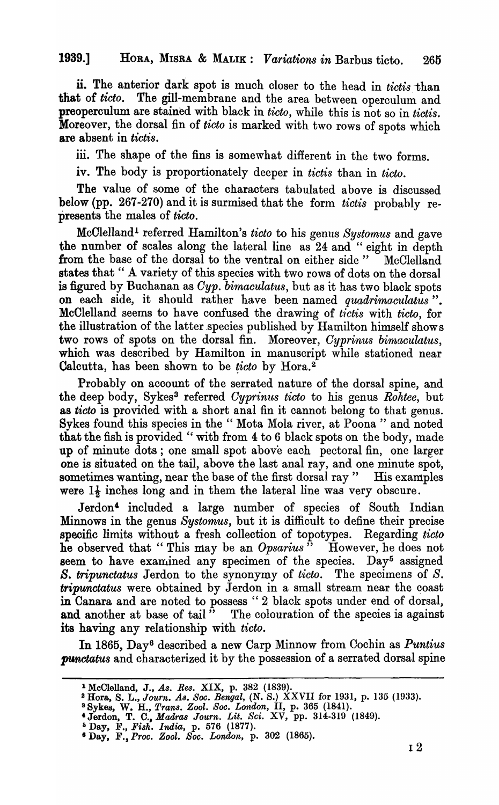ii. The anterior dark spot is much closer to the head in *tictis* -than that of *ticto*. The gill-membrane and the area between operculum and preoperculum are stained with black in *tieto,* while this is not so in *tietis.*  Moreover, the dorsal fin of *tieto* is marked with two rows of spots which are absent in *tietis.* 

iii. The shape of the fins is somewhat different in the two forms.

iv. The body is proportionately deeper in *tietis* than in *tieto.* 

The value of some of the characters tabulated above is discussed below (pp. 267-270) and it is surmised that the form *tietis* probably represents the males of *tieto.* 

McClelland<sup>1</sup> referred Hamilton's *ticto* to his genus *Systomus* and gave the number of scales along the lateral line as 24 and " eight in depth from the base of the dorsal to the ventral on either side" McClelland states that " A variety of this species with two rows of dots on the dorsal is figured by Buchanan as *Cyp. bimaculatus*, but as it has two black spots on each side, it should rather have been named *quadrimaculatus"*. McClelland seems to have confused the drawing of *tietis* with *tieto,* for the illustration of the latter species published by Hamilton himself shows two rows of spots on the dorsal fin. Moreover, *Gyprinus bimaculatus,*  which was described by Hamilton in manuscript while stationed near Calcutta, has been shown to be *ticto* by Hora.<sup>2</sup>

Probably on account of the serrated nature of the dorsal spine, and the deep body, Sykes3 referred *Cyprinus ticto* to his genus *Rohtee,* but as *tieto* is provided with a short anal fin it cannot belong to that genus. Sykes found this species in the "Mota Mola river, at Poona" and noted that the fish is provided "with from 4 to 6 black spots on the body, made up of minute dots ; one small spot above each pectoral fin, one larger one is situated on the tail, above the last anal ray, and one minute spot, sometimes wanting, near the base of the first dorsal ray" His examples were  $1\frac{1}{2}$  inches long and in them the lateral line was very obscure.

Jerdon<sup>4</sup> included a large number of species of South Indian Minnows in the genus *Systomus,* but it is difficult to define their precise speoific limits without a fresh collection of topotypes. Regarding *tieto*  he observed that "This may be an *Opsarius*" However, he does not seem to have examined any specimen of the species. Day<sup>5</sup> assigned *B. tripunetatus* Jerdon to the synonymy of *tieto.* The specimens of *S. tripunctatus* were obtained by Jerdon in a small stream near the coast in Canara and are noted to possess " 2\_ black spots under end of dorsal, and another at base of tail" The colouration of the species is against its having any relationship with *tieto.* 

In 1865, Day6 described a new Carp Minnow from Cochin as *Puntius*  **punctatus and characterized it by the possession of a serrated dorsal spine** 

<sup>&</sup>lt;sup>1</sup> McClelland, J., As. Res. XIX, p. 382 (1839).

<sup>&</sup>lt;sup>2</sup> Hora, S. L., *Journ. As. Soc. Bengal*, (N. S.) XXVII for 1931, p. 135 (1933).

a Sykes, W. H., *Trans. Zool. Soc. London,* II, p. 365 (1841).

<sup>&#</sup>x27;Jerdon, T. C., *Madra8 Journ. Lit. Sci.* XV, pp. 314-319 (1849).

<sup>:;</sup> Day, F., *Fish. India,* p. 576 (1877).

<sup>6</sup>Day, F., *Proc. Zool. Soc. Londo'n,* p. 302 (1865).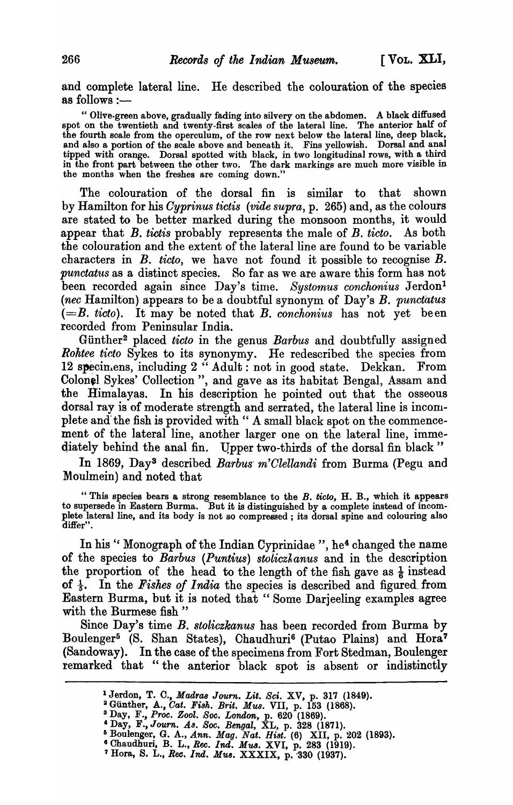and complete lateral line. He described the colouration of the species as follows : $-$ 

" Olive-green above, gradually fading into silvery on the abdomen. A black diffused spot on the twentieth and twenty-first scales of the lateral line. The anterior half of the fourth scale from the operculum, of the row next below the lateral line, deep black, and also a portion of the scale above and beneath it. Fins yellowish. Dorsal and anal tipped with orange. Dorsal spotted with black, in two longitudinal rows, with a third in the front part between the other two. The dark markings are much more visible in the months when the freshes are coming down."

The colouration of the dorsal fin is similar to that shown by Hamilton for his *Oyprinus tictis (vide supra,* p. 265) and, as the colours are stated to be better marked during the monsoon months, it would appear that B. *tictis* probably represents the male of B. *ticto.* As both the colouration and the extent of the lateral line are found to be variable characters in *B. ticto,* we have not found it possible to recognise *B. punctatus* as a distinct species. So far as we are aware this form has not been recorded again since Day's time. *Systomus conchonius* Jerdon<sup>1</sup> *(nee* Hamilton) appears to be a doubtful synonym of Day's *B. punctatus*   $(=B. ticto)$ . It may be noted that *B. conchonius* has not yet been recorded from Peninsular India.

Giinther2 placed *tieto* in the genus *Barbus* and doubtfully assigned *Rohtee tieto* Sykes to its synonymy. He redescribed the species from 12 specimens, including 2 " Adult: not in good state. Dekkan. From Colonel Sykes' Collection", and gave as its habitat Bengal, Assam and the Himalayas. In his description he pointed out that the osseous dorsal ray is of moderate strength and serrated, the lateral line is incomplete and the fish is provided with " A small black spot on the commencement of the lateral line, another larger one on the lateral line, immediately behind the anal fin. Upper two-thirds of the dorsal fin black"

In 1869, Day3 described *Barbus- m'Olellandi* from Burma (Pegu and Moulmein) and noted that

" This species bears a strong resemblance to the *B. ticto,* H. B., which it appears to supersede in Eastern Burma. But it is distinguished by a complete instead of incomplete lateral line, and its body is not so compressed; its dorsal spine and colouring also differ".

In his "Monograph of the Indian Cyprinidae", he<sup>4</sup> changed the name of the species to *Barbus (Puntius) stoliczkanus* and in the description the proportion of the head to the length of the fish gave as  $\frac{1}{6}$  instead of  $\frac{1}{5}$ . In the *Fishes of India* the species is described and figured from Eastern Burma, but it is noted that" Some Darjeeling examples agree with the Burmese fish"

Since Day's time *B. stoliczkanus* has been recorded from Burma by Boulenger<sup>5</sup> (S. Shan States), Chaudhuri<sup>6</sup> (Putao Plains) and Hora<sup>7</sup> (Sandoway). In the case of the specimens from Fort Stedman, Boulenger remarked that "the anterior black spot is absent or indistinctly

<sup>1</sup> Jerdon, T. 0., *MadraB Journ. Lit. Sci.* XV, p. 317 (1849).

<sup>~</sup>Gunther, A., *Oat. Fi8h. Brit. Mus.* VII, p. 153 (1868).

<sup>&</sup>lt;sup>3</sup> Day, F., *Proc. Zool. Soc. London*, p. 620<sup> $\hat{ }$ </sup>(1869).

<sup>&</sup>lt;sup>4</sup> Day, F., *Journ. As. Soc. Bengal*, XL, p. 328 (1871).

I) Boulenger, G. A., Ann. Mag. *Nat. Bi8t.* (6) XII, p. 202 (1893).

<sup>&</sup>lt;sup>6</sup> Chaudhuri, B. L., *Rec. Ind. Mus.* XVI, p. 283 (1919).

<sup>&</sup>lt;sup>7</sup> Hora, S. L., *Rec. Ind. Mus.* XXXIX, p. 330 (1937).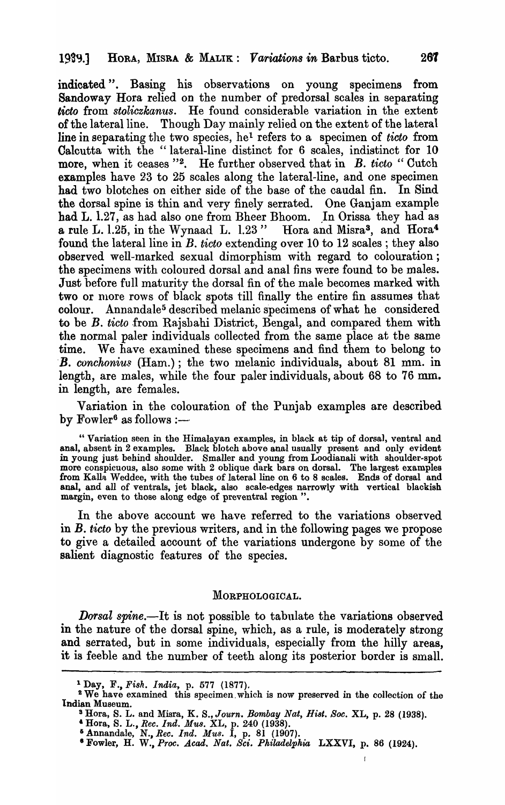indicated". Basing his observations on young specimens from Sandoway Hora relied on the number of predorsal scales in separating *licto* from *stoliezkanus.* He found considerable variation in the extent of the lateral line. Though Day mainly relied on the extent of the lateral line in separating the two species, hel refers to a specimen of *tieto* from Calcutta with the "lateral-line distinct for 6 scales, indistinct for 10 more, when it ceases "<sup>2</sup>. He further observed that in *B. ticto* " Cutch examples have 23 to 25 scales along the lateral-line, and one specimen had two blotches on either side of the base of the caudal fin. In Sind the dorsal spine is thin and very finely serrated. One Ganjam example had L. 1.27, as had also one from Bheer Bhoom. In Orissa they had as a rule L. l.25, in the Wynaad L. 1.23" Hora and Misra3, and Hora" found the lateral line in  $B$ , *ticto* extending over 10 to 12 scales; they also observed well-marked sexual dimorphism with regard to colouration; the specimens with coloured dorsal and anal fins were found to be males. Just before full maturity the dorsal fin of the male becomes marked with two or more rows of black spots till finally the entire fin assumes that colour. Annandale5 described melanic specimens of what he considered to be B. ticto from Rajsbahi District, Bengal, and compared them with the normal paler individuals collected from the same place at the same time. We have examined these specimens and find them to belong to **B.** conchonius (Ham.); the two melanic individuals, about 81 mm. in length, are males, while the four paler individuals, about 68 to 76 mm. in length, are females.

Variation in the colouration of the Punjab examples are described by  $\text{Fourier}^6$  as follows :-

" Variation seen in the Himalayan examples, in black at tip of dorsa], ventral and anal, absent in 2 examples. Black blotch above anal usually present and only evident in young just behind shoulder. Smaller and young from Loodianali with shoulder~spot more conspicuous, also some with 2 oblique dark bars on dorsal. The largest examples from Kalla. Weddee, with the tubes of lateral line on 6 to 8 scales. Ends of dorsal and anal, and all of ventrals, jet black, also scale-edges narrowly with vertical blackish margin, even to those along edge of preventral region ".

In the above account we have referred to the variations observed in B. *ticto* by the previous writers, and in the following pages we propose to give a detailed account of the variations undergone by some of the salient diagnostic features of the species.

#### MORPHOLOGICAL.

*Dorsal spine.*-It is not possible to tabulate the variations observed in the nature of the dorsal spine, which, as a rule, is moderately strong and serrated, but in some individuals, especially from the hilly areas, it is feeble and the number of teeth along its posterior border is small.

 $\mathbf{I}$ 

<sup>1</sup>Day, F., *Fish. India,* p. 577 (1877).

<sup>&</sup>lt;sup>2</sup> We have examined this specimen which is now preserved in the collection of the Indian Museum.

S Bora, S. L. and Misra, K. S., *Journ. Bombay Nat, Hi8t. Soc.* XL, p. 28 (1938).

<sup>&</sup>amp; Bora, S. L., *Rec. Ind. MU8.* XL, p. 240 (1938).

<sup>6</sup> Annandale, N., *Rec. Ind. MU8.* I, p. 81 (1907).

<sup>•</sup> Fowler, H. W., *Proc. Acad. Nat. Sci. Philadelphia* LXXVI, p. 86 (1924).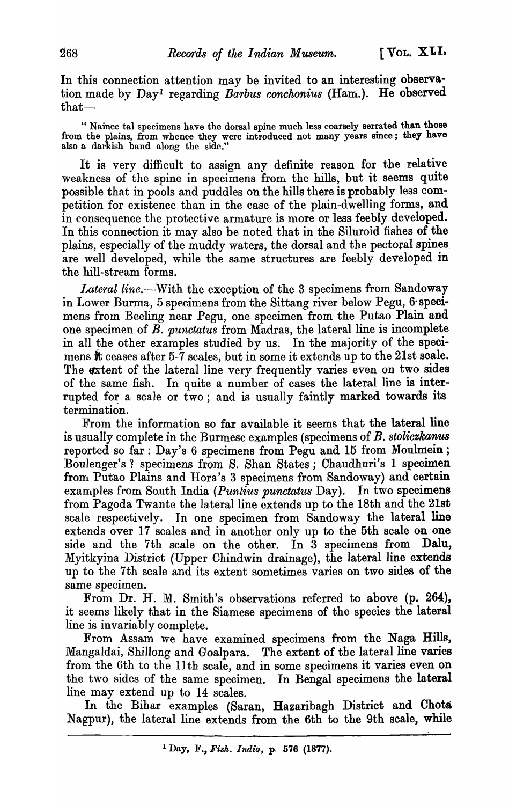In this connection attention may be invited to an interesting observation made by Dayl regarding *Barbus conchonius* (Ham.). He observed that-

" Nainee tal specimens have the dorsal spine much less coarsely serrated than those from the plains, from whence they were introduced not many years since; they have also a darkish band along the side."

It is very difficult to assign any definite reason for the relative weakness of the spine in specimens from. the hills, but it seems quite possible that in pools and puddles on the hills there is probably less competition for existence than in the case of the plain-dwelling forms, and in consequence the protective armature is more or less feebly developed. In this connection it may also be noted that in the Siluroid fishes of the plains, especially of the muddy waters, the dorsal and the pectoral spines. are well developed, while the same structures are feebly developed in the hill-stream forms.

Lateral line.---With the exception of the 3 specimens from Sandoway in Lower Burma, 5 specimens from the Sittang river below Pegu, 6 specimens from Beeling near Pegu, one specimen from the Putao Plain and one specimen of *B. punctatus* from Madras, the lateral line is incomplete in all the other examples studied by us. In the majority of the specimens it ceases after 5-7 scales, but in some it extends up to the 21st scale. The extent of the lateral line very frequently varies even on two sides of the same fish. In quite a number of cases the lateral line is interrupted for a scale or two; and is usually faintly marked towards its termination.

From the information so far available it seems that the lateral line is usually complete in the Burmese examples (specimens of B. *stoliczkanus*  reported so far: Day's 6 specimens from Pegu and 15 from Moulmein; Boulenger's? specimens from S. Shan States; Chaudhuri's 1 specimen from. Putao Plains and Hora's 3 specimens from Sandoway) and certain examples from South India *(Puntius punctatus Day)*. In two specimens from Pagoda Twante the lateral line extends up to the 18th and the 21st scale respectively. Tn one specimen from Sandoway the lateral line extends over 17 scales and in another only up to the 5th scale on one side and the 7th scale on the other. In 3 specimens from Dalu, Myitkyina District (Upper Chindwin drainage), the lateral line extends up to the 7th scale and its extent sometimes varies on two sides of the same specimen.

From Dr. H. M. Smith's observations referred to above (p. 264), it seems likely that in the Siamese specimens of the species the lateral line is invariably complete.

From Assam we have examined specimens from the Naga Hills, Mangaldai, Shillong and Goalpara. The extent of the lateral line varies from the 6th to the 11th scale, and in some specimens it varies even on the two sides of the same specimen. In Bengal specimens the lateral line may extend up to 14 scales.

In the Bihar examples (Saran, Hazaribagh District and Chota Nagpur), the lateral line extends from the 6th to the 9th scale, while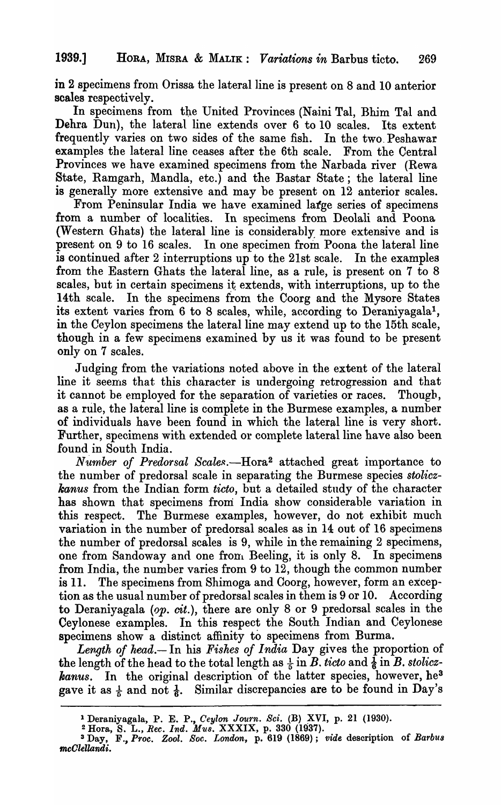in 2 specimens from Orissa the lateral line is present on 8 and 10 anterior scales respectively.

In specimens from the United Provinces (Naini Tal, Bhim Tal and Dehra Dun), the lateral line extends over 6 to 10 scales. Its extent frequently varies on two sides of the same fish. In the two. Peshawar examples the lateral line ceases after the 6th scale. From the Central Provinces we have examined specimens from the Narbada river (Rewa State, Ramgarh, Mandla, etc.) and the Bastar State; the lateral line is generally more extensive and may be present on 12 anterior scales.

From Peninsular India we have examined large series of specimens from a number of localities. In specimens from Deolali and Poona (Western Ghats) the lateral line is considerably more extensive and is present on 9 to 16 scales. In one specimen from Poona the lateral line is continued after 2 interruptions up to the 21st scale. In the examples from the Eastern Ghats the lateral line, as a rule, is present on 7 to 8 scales, but in certain specimens it extends, with interruptions, up to the 14th scale. In the specimens from the Coorg and the Mysore States its extent varies from 6 to 8 scales, while, according to Deraniyagala1, in the Ceylon specimens the lateral line may extend up to the 15th scale, though in a few specimens examined by us it was found to be present only on 7 scales.

Judging from the variations noted above in the extent of the lateral line it seems that this character is undergoing retrogression and that it cannot be employed for the separation of varieties or races. Thougb, as a rule, the lateral line is complete in the Burmese examples, a number of individuals have been found in which the lateral line is very short. Further, specimens with extended or complete lateral line have also been found in South India.

*Number of Predorsal Scales.*—Hora<sup>2</sup> attached great importance to the number of predorsal scale in separating the Burmese species *stoliczkanus* from the Indian form *ticto,* but a detailed study of the character has shown that specimens from India show considerable variation in this respect. The Burmese examples, however, do not exhibit much variation in the number of predorsal scales as in 14 out of 16 specimens the number of predorsal scales is 9, while in the remaining 2 specimens, one from Sandoway and one from Beeling, it is only 8. In specimens from India, the number varies from 9 to 12, though the common number is 11. The specimens from Shimoga and Coorg, however, form an exception as the usual number of predorsal scales in them is 9 or 10. According to Deraniyagala *(op.* cit.), there are only 8 or 9 predorsal scales in the Ceylonese examples. In this respect the South Indian and Ceylonese specimens show a distinct affinity to specimens from Burma.

*Length of head.-* In his *Fishes of India* Day gives the proportion of the length of the head to the total length as  $\frac{1}{5}$  in  $\overline{B}$ . *ticto* and  $\frac{1}{6}$  in  $\overline{B}$ . *stoliczhanus.* In the original description of the latter species, however, he<sup>3</sup> gave it as  $\frac{1}{6}$  and not  $\frac{1}{6}$ . Similar discrepancies are to be found in Day's

<sup>&</sup>lt;sup>1</sup> Deraniyagala, P. E. P., *Ceylon Journ. Sci.* (B) XVI, p. 21 (1930).

<sup>&</sup>lt;sup>2</sup> Hora, S. L., *Rec. Ind. Mus. XXXIX*, p. 330 (1937).

<sup>3</sup> Day, F., *Proc. Zool. Soc. London,* p. 619 (1869); *vide* description of *Barbu8 mcOlellandi.*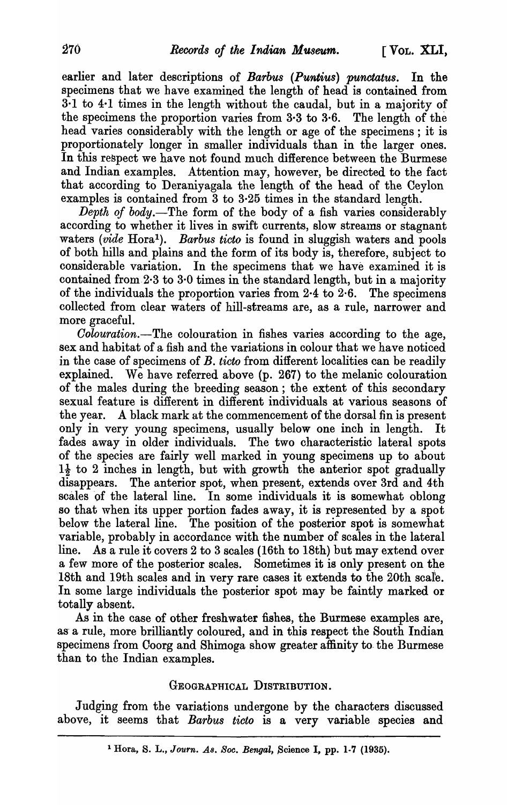earlier and later descriptions of *Barbus (Puntius) punctatus.* In the specimens that we have examined the length of head is contained from 3·1 to 4·1 times in the length without the caudal, but in a majority of the specimens the proportion varies from 3·3 to 3·6. The length of the head varies considerably with the length or age of the specimens; it is proportionately longer in smaller individuals than in the larger ones. In this respect we have not found much difference between the Burmese and Indian examples. Attention may, however, be directed to the fact that according to Deraniyagala the length of the head of the Ceylon examples is contained from  $3$  to  $3.25$  times in the standard length.

*Depth of body.-The* form of the body of a fish varies considerably according to whether it lives in swift currents, slow streams or stagnant waters *(vide* Hora<sup>1</sup>). *Barbus ticto* is found in sluggish waters and pools of both hills and plains and the form of its body is, therefore, subject to considerable variation. In the specimens that we have examined it is contained from.2·3 to 3·0 times in the standard length, but in a majority of the individuals the proportion varies from  $2.4$  to  $2.6$ . The specimens collected from clear waters of hill-streams are, as a rule, narrower and more graceful.

*Oolouration.-The* colouration in fishes varies according to the age, sex and habitat of a fish and the variations in colour that we have noticed in the case of specimens of B. *ticto* from different localities can be readily explained. We have referred above (p. 267) to the melanic colouration of the males during the breeding season; the extent of this secondary sexual feature is different in different individuals at various seasons of the year. A black mark at the commencement of the dorsal fin is present only in very young specimens, usually below one inch in length. It fades away in older individuals. The two characteristic lateral spots of the species are fairly well marked in young specimens up to about  $1\frac{1}{2}$  to 2 inches in length, but with growth the anterior spot gradually disappears. The anterior spot, when present, extends over 3rd and 4th scales of the lateral line. In some individuals it is somewhat oblong so that when its upper portion fades away, it is represented by a spot below the lateral line. The position of the posterior spot is somewhat variable, probably in accordance with the number of scales in the lateral line. As a rule it covers 2 to 3 scales (16th to 18th) but may extend over a few more of the posterior scales. Sometimes it is only present on the 18th and 19th scales and in very rare cases it extends to the 20th scal'e. In some large individuals the posterior spot may be faintly marked or totally absent.

As in the case of other freshwater fishes, the Burmese examples are, as a rule, more brilliantly coloured, and in this respect the South Indian specimens from Coorg and Shimoga show greater affinity to. the Burmese than to the Indian examples.

## GEOGRAPHICAL DISTRIBUTION.

Judging from the variations undergone by the characters discussed above, it seems that *Barbus ticto* is a very variable species and

<sup>&</sup>lt;sup>1</sup> Hora, S. L., *Journ. As. Soc. Bengal*, Science I, pp. 1-7 (1935).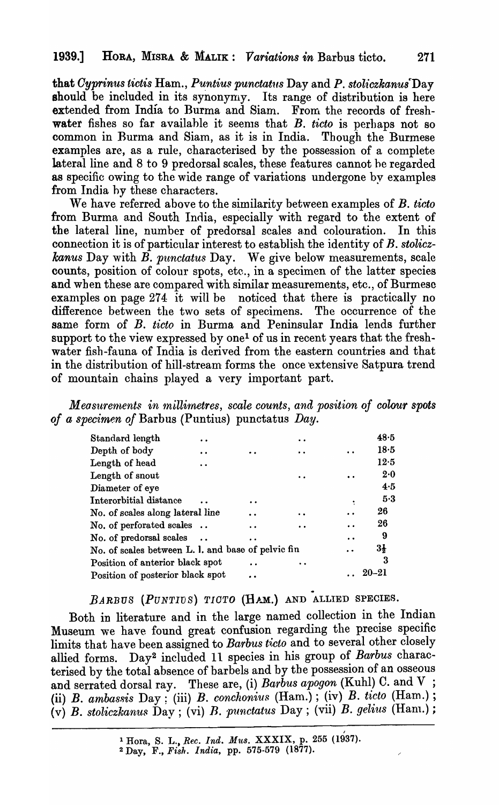that *Cyprinus tictis* Ham., *Puntius punctatus* Day and *P. stoliczkanus* Day should be included in its synonymy. Its range of distribution is here extended from India to Burma and Siam. From the records of freshwater fishes so far available it seems that  $B$ . *ticto* is perhaps not so common in Burma and Siam, as it is in India. Though the Burmese examples arc, as a rule, characterised by the possession of a complete lateral line and 8 to 9 predorsal scales, these features cannot he regarded as specific owing to the wide range of variations undergone by examples from India hy these characters.

We have referred above to the similarity between examples of B. ticto from Burma and South India, especially with regard to the extent of the lateral line, number of predorsal scales and colouration. In this connection it is of particular interest to establish the identity of B. *stoliczkanus* Day with B. *punctatus* Day. We give below measurements, scale counts, position of colour spots, etc., in a specimen of the latter species and when these are compared with similar measurements, etc., of Burmese examples on page  $274$  it will be noticed that there is practically no difference between the two sets of specimens. The occurrence of the same form of B. *ticto* in Burma and Peninsular India lends further support to the view expressed by one<sup>1</sup> of us in recent years that the freshwater fish-fauna of India is derived from the eastern countries and that in the distribution of hill-stream forms the once extensive Satpura trend of mountain chains played a very important part.

*Measurements in millimetres, scale counts, and position of colour spots of a specimen of* Barbus (Puntius) punctatus *Day.* 

| Standard length                                    |  |  | 48.5           |
|----------------------------------------------------|--|--|----------------|
| Depth of body                                      |  |  | 18.5           |
| Length of head                                     |  |  | 12.5           |
| Length of snout                                    |  |  | 2.0            |
| Diameter of eye                                    |  |  | 4.5            |
| Interorbitial distance                             |  |  | 5.3            |
| No. of scales along lateral line                   |  |  | 26             |
| No. of perforated scales                           |  |  | 26             |
| No. of predorsal scales                            |  |  | 9              |
| No. of scales between L. l. and base of pelvic fin |  |  | $3\frac{1}{2}$ |
| Position of anterior black spot                    |  |  | 3              |
| Position of posterior black spot                   |  |  | $20 - 21$      |
|                                                    |  |  |                |

### *BARBUS (PUNTIDS) TIOTO* (HAM.) AND ALLIED SPECIES.

Both in literature and in the large named collection in the Indian Museum we have found great confusion regarding the precise specific limits that have been assigned to *Barbus ticto* and to several other closely allied forms. Day<sup>2</sup> included 11 species in his group of Barbus characterised by the total absence of barbels and by the possession of an osseous and serrated dorsal ray. These are, (i) Barbus apogon (Kuhl) C. and V ; (ii) *B. ambassis* Day; (iii) *B. conchonius*  $(Ham.)$ ; (iv) *B. ticto*  $(Ham.)$ ; (v) B. stoliczkanus Day; (vi) *B. punctatus* Day; (vii) *B. gelius* (Ham.);

<sup>&</sup>lt;sup>1</sup> Hora, S. L., *Rec. Ind. Mus.* XXXIX, p. 255 (1937).

<sup>2</sup> Day, F., *Fish. India,* pp. 575-579 (1877).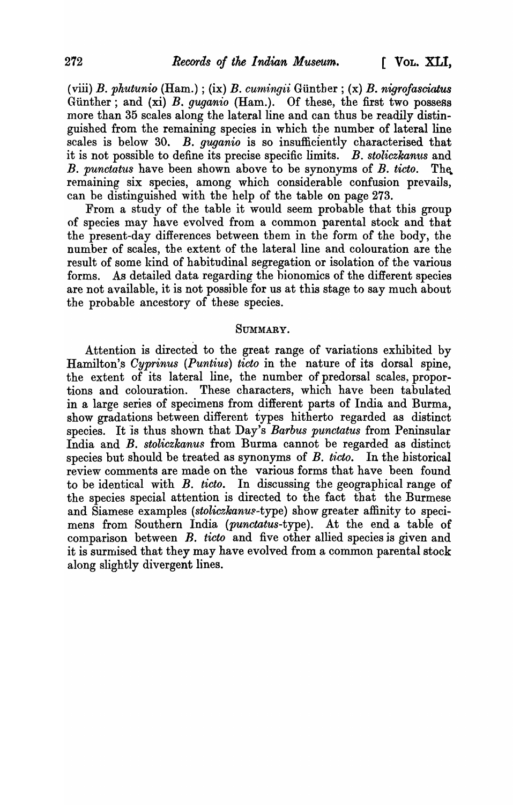(viii) B. *phutunio* (Ham.) ; (ix) B. *cum1:ng,ii* GUnther; (x) B. *nigrofasciatus*  Günther; and (xi) B. *guganio* (Ham.). Of these, the first two possess more than 35 scales along the lateral line and can thus be readily distinguished from the remaining species in which the number of lateral line scales is below 30. B. *guganio* is so insufficiently characterised that it is not possible to define its precise specific limits. B. *stoliczkanus* and B. *punctatus* have been shown above to be synonyms of B. *ticto*. The. remaining six species, among which considerable confusion prevails, can be distinguished with the help of the table on page 273.

From a study of the table it would seem probable that this group of species may have evolved from a common parental stock and that the present-day differences between them in the form of the body, the number of scales, the extent of the lateral line and colouration are the result of some kind of habitudinal segregation or isolation of the various forms. As detailed data regarding the bionomics of the difierent species are not available, it is not possible for us at this stage to say much about the probable ancestory of these species.

## SUMMARY.

Attention is directed to the great range of variations exhibited by Hamilton's *Cyprinus (Puntius) ticto* in the nature of its dorsal spine, the extent of its lateral line, the number of predorsaI scales, proportions and colouration. These characters, which have been tabulated in a large series of specimens from different parts of India and Burma, show gradations between different types hitherto regarded as distinct species. It 'is thus shown that Day's *Barbus punctatus* from Peninsular India and B. *stoliczkanus* from Burma cannot be regarded as distinct species but should be treated as synonyms of B. *ticto*. In the historical review comments are made on the various forms that have been found to be identical with B. *ticto.* In discussing the geographical range of the species special attention is directed to the fact that the Burmese and Siamese examples (stoliczkanus-type) show greater affinity to specimens from Southern India *(punctatus-type).* At the end a table of comparison between B. *ticto* and five other allied species is given and it is surmised that they may have evolved from a common parental stock along slightly divergent lines.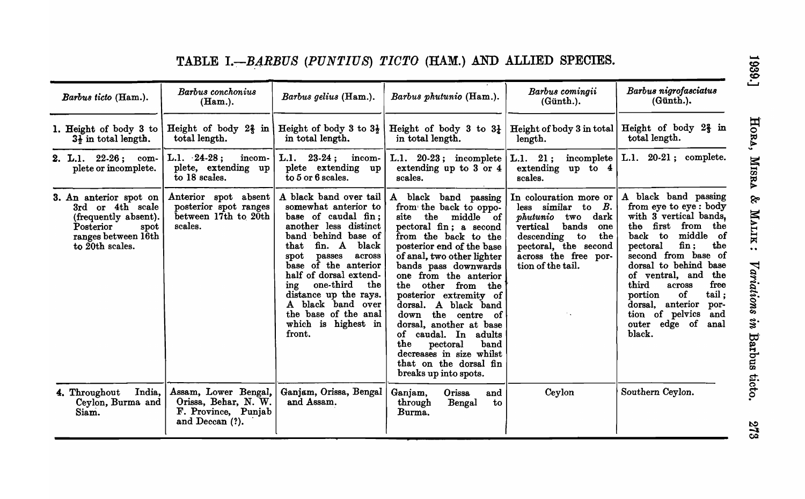|                        | Barbus ticto (Ham.).                                                                                                              | Barbus conchonius<br>$(Ham.)$ .                                                        | Barbus gelius (Ham.).                                                                                                                                                                                                                                                                                                                                                        | Barbus phutunio (Ham.).                                                                                                                                                                                                                                                                                                                                                                                                                                                                                         | Barbus comingii<br>$(G$ ünth. $).$                                                                                                                                                                                                  | Barbus nigrofasciatus<br>(G <sup>in</sup> th.).                                                                                                                                                                                                                                                                                                                                   |
|------------------------|-----------------------------------------------------------------------------------------------------------------------------------|----------------------------------------------------------------------------------------|------------------------------------------------------------------------------------------------------------------------------------------------------------------------------------------------------------------------------------------------------------------------------------------------------------------------------------------------------------------------------|-----------------------------------------------------------------------------------------------------------------------------------------------------------------------------------------------------------------------------------------------------------------------------------------------------------------------------------------------------------------------------------------------------------------------------------------------------------------------------------------------------------------|-------------------------------------------------------------------------------------------------------------------------------------------------------------------------------------------------------------------------------------|-----------------------------------------------------------------------------------------------------------------------------------------------------------------------------------------------------------------------------------------------------------------------------------------------------------------------------------------------------------------------------------|
|                        | 1. Height of body 3 to<br>$3\frac{1}{2}$ in total length.                                                                         | Height of body $2\frac{2}{3}$ in<br>total length.                                      | Height of body 3 to $3\frac{1}{2}$<br>in total length.                                                                                                                                                                                                                                                                                                                       | Height of body 3 to $3\frac{1}{4}$<br>in total length.                                                                                                                                                                                                                                                                                                                                                                                                                                                          | length.                                                                                                                                                                                                                             | Height of body 3 in total   Height of body $2\frac{2}{3}$ in<br>total length.                                                                                                                                                                                                                                                                                                     |
|                        | 2. L.1. $22-26$ ; com-<br>plete or incomplete.                                                                                    | $L.1.24-28;$<br>incom-<br>plete, extending up<br>to 18 scales.                         | L.l.<br>$23-24$ ; incom-<br>plete extending up<br>$\bar{t}$ to 5 or 6 scales.                                                                                                                                                                                                                                                                                                | L.1. $20-23$ ; incomplete<br>extending up to 3 or 4<br>scales.                                                                                                                                                                                                                                                                                                                                                                                                                                                  | extending up to 4<br>scales.                                                                                                                                                                                                        | L.1. 21; incomplete   L.1. 20-21; complete.                                                                                                                                                                                                                                                                                                                                       |
|                        | 3. An anterior spot on<br>3rd or 4th scale<br>(frequently absent).<br>Posterior<br>spot<br>ranges between 16th<br>to 20th scales. | Anterior spot absent<br>posterior spot ranges<br>between 17th to 20th<br>scales.       | A black band over tail<br>somewhat anterior to<br>base of caudal fin;<br>another less distinct<br>band behind base of<br>fin. A black<br>that<br>across<br>$_{\rm spot}$<br>passes<br>base of the anterior<br>half of dorsal extend-<br>$one$ -third<br>the<br>ing<br>distance up the rays.<br>A black band over<br>the base of the anal<br>which is<br>highest in<br>front. | A black band passing<br>from the back to oppo-<br>the<br>middle of<br>site<br>pectoral fin; a second<br>from the back to the<br>posterior end of the base<br>of anal, two other lighter<br>bands pass downwards<br>one from the anterior<br>the<br>other from the<br>posterior extremity of<br>dorsal. A black band<br>the centre of<br>down<br>dorsal, another at base<br>caudal. In<br>adults<br>of<br>the<br>pectoral<br>band<br>decreases in size whilst<br>that on the dorsal fin<br>breaks up into spots. | In colouration more or<br>less similar to $B$ .<br><i>phutunio</i> two dark<br>vertical<br>bands<br>one<br>descending to<br>the<br>pectoral, the second<br>across the free por-<br>tion of the tail.<br>$\mathcal{F}_{\mathcal{A}}$ | A black band passing<br>from eye to eye: body<br>with 3 vertical bands,<br>the first<br>from the<br>middle of<br>back to<br>fin:<br>the<br>pectoral<br>second from base of<br>dorsal to behind base<br>of ventral, and<br>the<br>free<br>third<br>across<br>tail:<br>of<br>portion<br>dorsal,<br>anterior<br>por-<br>tion of pelvics<br>and<br>outer edge<br>of<br>anal<br>black. |
| 4. Throughout<br>Siam. | India,<br>Ceylon, Burma and                                                                                                       | Assam, Lower Bengal,<br>Orissa, Behar, N. W.<br>F. Province, Punjab<br>and Deccan (?). | Ganjam, Orissa, Bengal<br>and Assam.                                                                                                                                                                                                                                                                                                                                         | Ganjam,<br>Orissa<br>and<br>through<br>Bengal<br>$\mathbf{t}$ o<br>Burma.                                                                                                                                                                                                                                                                                                                                                                                                                                       | Ceylon                                                                                                                                                                                                                              | Southern Ceylon.                                                                                                                                                                                                                                                                                                                                                                  |

# TABLE I.-BARBUS *(PUNTIUS) TICTO* (HAM.) AND ALLIED SPECIES.

1939.]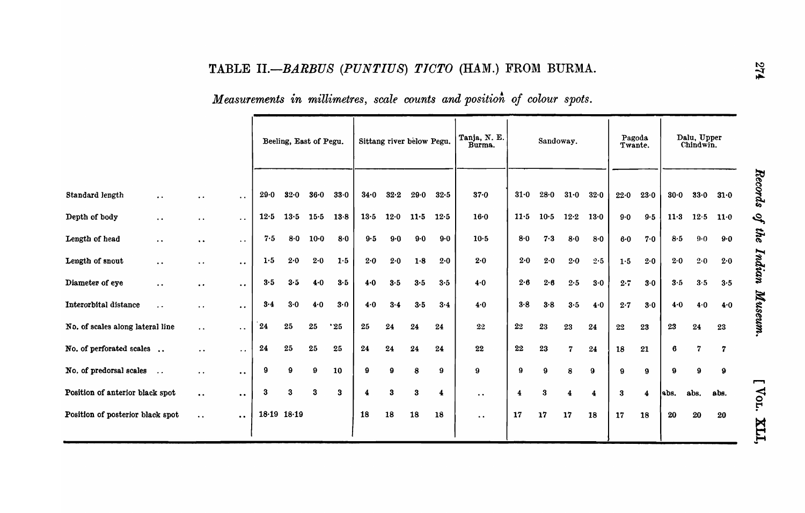|  | Measurements in millimetres, scale counts and position of colour spots. |  |  |  |  |  |  |  |  |  |
|--|-------------------------------------------------------------------------|--|--|--|--|--|--|--|--|--|
|--|-------------------------------------------------------------------------|--|--|--|--|--|--|--|--|--|

|                                  |                      |                                               |                      |                 | Beeling, East of Pegu. |        |        |      | Sittang river below Pegu. |         |                         | Tanja, N. E.<br>Burma. |       | Sandoway. |         |           | Pagoda<br>Twante. |       |         | Dalu, Upper<br>Chindwin. |        |           |
|----------------------------------|----------------------|-----------------------------------------------|----------------------|-----------------|------------------------|--------|--------|------|---------------------------|---------|-------------------------|------------------------|-------|-----------|---------|-----------|-------------------|-------|---------|--------------------------|--------|-----------|
|                                  |                      |                                               |                      |                 |                        |        |        |      |                           |         |                         |                        |       |           |         |           |                   |       |         |                          |        |           |
| Standard length                  | $\bullet$            | $\bullet$ $\bullet$                           | $\bullet$ .          | 29.0            | 32.0                   | 36.0   | 33.0   | 34.0 | 32.2                      | 29.0    | 32.5                    | $37 - 0$               | 31.0  | 28.0      | 31.0    | 32.0      | 22.0              | 23.0  | 30.0    | 33.0                     | 31.0   | Records   |
| Depth of body                    | $\bullet$ $\bullet$  | $\bullet\hspace{0.4mm} \bullet\hspace{0.4mm}$ | $\sim$ $\sim$        | 12.5            | 13.5                   | 15.5   | $13-8$ | 13.5 | 12.0                      | 11.5    | 12.5                    | $16 - 0$               | 11.5  | $10-5$    | $12-2$  | $13 - 0$  | $9 - 0$           | 9.5   | 11.3    | 12.5                     | $11-0$ | چ         |
| Length of head                   | $\bullet$ $\bullet$  | $\bullet\; \bullet$                           | $\ddot{\phantom{1}}$ | 7.5             | 8.0                    | $10-0$ | 8.0    | 9.5  | $9-0$                     | $9 - 0$ | 9.0                     | $10-5$                 | 8.0   | 7.3       | 8.0     | 8.0       | $6-0$             | 7.0   | $8·5$   | $9 - 0$                  | 9.0    | the       |
| Length of snout                  | $\bullet$ $\bullet$  | $\ddot{\phantom{1}}$                          | $\bullet$ $\bullet$  | 1.5             | 2.0                    | 2.0    | 1.5    | 2.0  | 2.0                       | 1.8     | 2.0                     | 2.0                    | 2.0   | 2.0       | $2 - 0$ | 2.5       | $1.5$             | 2.0   | 2.0     | 2.0                      | 2.0    | Indian    |
| Diameter of eye                  | $\bullet$ $\bullet$  | $\bullet$ $\bullet$                           | $\bullet$            | 3.5             | 3.5                    | 4.0    | 3.5    | 4.0  | 3.5                       | 3.5     | 3.5                     | $4-0$                  | 2.6   | 2.6       | 2.5     | 3.0       | $2 \cdot 7$       | $3.0$ | $3.5\,$ | 3.5                      | 3.5    |           |
| Interorbital distance            | $\ddot{\phantom{0}}$ | $\ddot{\phantom{0}}$                          | $\bullet$ $\bullet$  | 3.4             | $3-0$                  | 4.0    | 3.0    | 4.0  | 3.4                       | 3.5     | 3.4                     | 4.0                    | $3-8$ | 3.8       | 3.5     | 4.0       | 2.7               | $3-0$ | 4.0     | 4.0                      | 4.0    | Museum.   |
| No. of scales along lateral line |                      | $\ddot{\phantom{1}}$ .                        | $\bullet$ $\bullet$  | 24              | 25                     | 25     | "25"   | 25   | 24                        | 24      | 24                      | 22                     | 22    | 23        | 23      | 24        | 22                | 23    | 23      | 24                       | 23     |           |
| No. of perforated scales         |                      | $\bullet$ $\bullet$                           | $\sim$ $\sim$        | 24              | 25                     | 25     | 25     | 24   | 24                        | 24      | 24                      | $22\,$                 | 22    | 23        | 7       | $\bf{24}$ | 18                | 21    | 6       | 7                        | 7      |           |
| No. of predorsal scales          | $\ddotsc$            | $\bullet$ $\bullet$                           | $\bullet$ $\bullet$  | 9               | 9                      | 9      | 10     | 9    | Ω                         | 8       | 9                       | 9                      | 9     | 9         | 8       | 9         | 9                 | 9     | 9       | 9                        | 9      |           |
| Position of anterior black spot  |                      | $\bullet$ $\bullet$                           | $\bullet$ $\bullet$  | 3               | 3                      | 3      | 3      | 4    | 3                         | 3       | $\overline{\mathbf{4}}$ | $\ddot{\phantom{a}}$   | 4     | 3         |         | 4         | 3                 | 4     | abs.    | abs.                     | abs.   | −<br>Vor. |
| Position of posterior black spot |                      | $\bullet$ $\bullet$                           | $\bullet$ $\bullet$  | $18.19$ $18.19$ |                        |        |        | 18   | 18                        | 18      | 18                      | $\bullet$ $\bullet$    | 17    | 17        | 17      | 18        | 17                | 18    | 20      | 20                       | 20     | ITX       |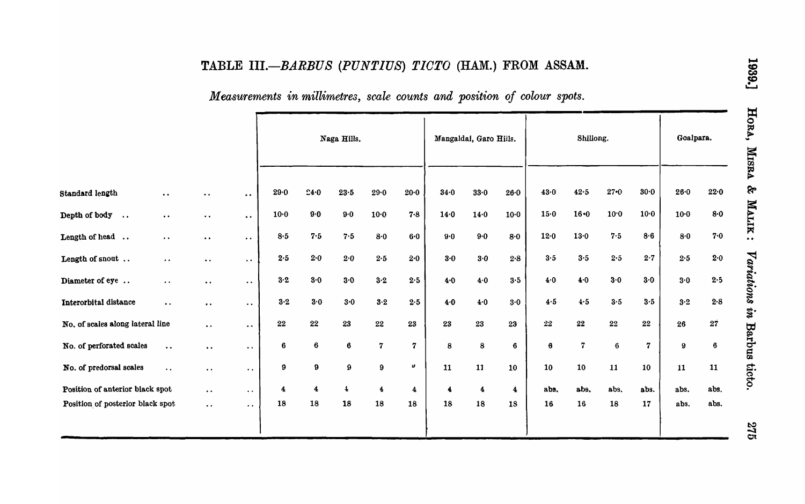# TABLE *III.-BARBUS (PUNTIUS) TIOTO* (HAM.) FROM ASSAM.

# *Measurements in millimetres, scale counts and position of colour spots.*

|                                         |                     |                           |                      |                      |      | Naga Hills.    |                         |                | Mangaldai, Garo Hills. |                      |                      | Shillong. |                         |          |             | Goalpara. |         |  |
|-----------------------------------------|---------------------|---------------------------|----------------------|----------------------|------|----------------|-------------------------|----------------|------------------------|----------------------|----------------------|-----------|-------------------------|----------|-------------|-----------|---------|--|
| Standard length                         | $\bullet$ $\bullet$ | $\ddot{\phantom{a}}$      | $\bullet$ $\bullet$  | 29.0                 | 24.0 | $23\!\cdot\!5$ | 29.0                    | $20-0$         | $34 - 0$               | 33.0                 | 26.0                 | 43.0      | 42.5                    | $27 - 0$ | $30-0$      | 26.0      | 22.0    |  |
| Depth of body<br>$\ddot{\phantom{a}}$ . | $\bullet\;\bullet$  | $\bullet$ $\bullet$       | $\bullet$ $\bullet$  | $10-0$               | 9.0  | $9-0$          | $10-0$                  | 7.8            | 14.0                   | 14.0                 | $10-0$               | 15.0      | $16 - 0$                | 10.0     | $10 - 0$    | $10 - 0$  | 8.0     |  |
| Length of head                          | $\bullet$ $\bullet$ | $\bullet$ $\bullet$       | $\bullet$ $\bullet$  | 8.5                  | 7.5  | 7.5            | $8-0$                   | 6.0            | $9-0$                  | $9.0$                | 8.0                  | 12.0      | 13.0                    | 7.5      | 8.6         | 8.0       | 7.0     |  |
| Length of snout                         | $\bullet$ $\bullet$ | $\bullet$ $\bullet$       | $\bullet$ $\bullet$  | 2.5                  | 2.0  | 2.0            | $2\!\cdot\!5$           | 2.0            | 3.0                    | $3.0$                | $2.8\,$              | 3.5       | 3.5                     | 2.5      | 2.7         | 2.5       | 2.0     |  |
| Diameter of eye                         | $\bullet$ $\bullet$ | $\bullet$ $\bullet$       | $\bullet$ $\bullet$  | 3.2                  | 3.0  | 3.0            | $3·2$                   | 2.5            | 4.0                    | $4.0$                | 3.5                  | 4.0       | 4.0                     | 3.0      | 3.0         | 3.0       | 2.5     |  |
| Interorbital distance                   | $\bullet$ $\bullet$ | $\bullet\hspace{0.4mm}$ . | $\sim$ $\sim$        | 3.2                  | 3.0  | 3.0            | $3\cdot 2$              | $2.5\,$        | 4.0                    | 4.0                  | 3.0                  | 4.5       | 4.5                     | 3.5      | $3.5$       | $3-2$     | $2 - 8$ |  |
| No. of scales along lateral line        |                     | $\bullet$ .               | $\bullet$ $\bullet$  | ${\bf 22}$           | 22   | 23             | $\bf{22}$               | 23             | 23                     | 23                   | 23                   | $\bf{22}$ | $22\,$                  | 22       | $\bf{22}$   | 26        | 27      |  |
| No. of perforated scales                | $\ddotsc$           | $\bullet$ $\bullet$       | $\bullet$ $\bullet$  | $\bf 6$              | 6    | 6              | $\mathbf{7}$            | $\overline{7}$ | 8                      | 8                    | 6                    | 6         | $\overline{\mathbf{z}}$ | 6        | $\mathbf 7$ | $\bf{9}$  | 6       |  |
| No. of predorsal scales                 | $\bullet$ $\bullet$ | $\bullet$ $\bullet$       | $\bullet$ .          | 9                    | 9    | 9              | 9                       | ิฮ             | 11                     | 11                   | 10                   | 10        | 10                      | 11       | 10          | 11        | 11      |  |
| Position of anterior black spot         |                     | $\ddot{\phantom{0}}$      | $\ddotsc$            | $\blacktriangleleft$ | 4    | $\ddagger$     | $\overline{\mathbf{4}}$ | 4              | $\blacktriangleleft$   | $\blacktriangleleft$ | $\blacktriangleleft$ | abs.      | abs.                    | abs.     | abs.        | abs.      | abs.    |  |
| Position of posterior black spot        |                     | $\ddot{\phantom{0}}$      | $\ddot{\phantom{0}}$ | 18                   | 18   | 18             | 18                      | 18             | 18                     | 18                   | 18                   | 16        | 16                      | 18       | 17          | abs.      | abs.    |  |
|                                         |                     |                           |                      |                      |      |                |                         |                |                        |                      |                      |           |                         |          |             |           |         |  |

375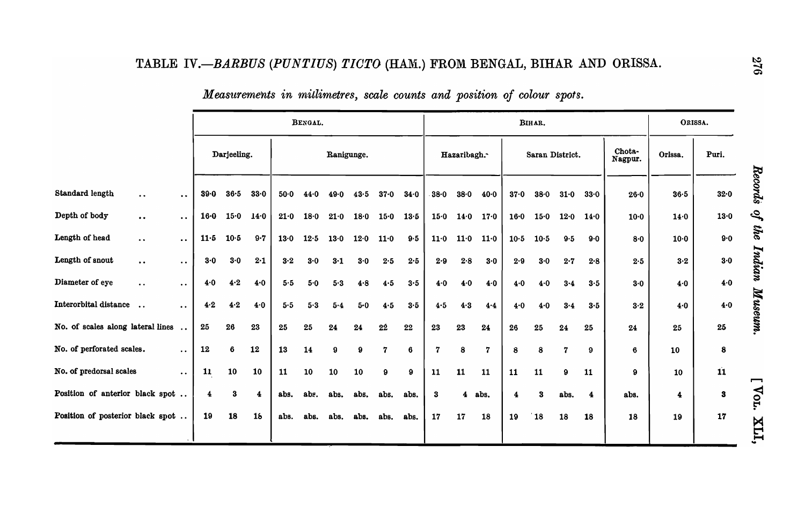|                                                                        |          |             |         |        | BENGAL. |              |      |              |      |             |             |                |        | BIHAR.          |      |             |                   | ORISSA.  |                         |                      |
|------------------------------------------------------------------------|----------|-------------|---------|--------|---------|--------------|------|--------------|------|-------------|-------------|----------------|--------|-----------------|------|-------------|-------------------|----------|-------------------------|----------------------|
|                                                                        |          | Darjeeling. |         |        |         | Ranigunge.   |      |              |      |             | Hazaribagh. |                |        | Saran District. |      |             | Chota-<br>Nagpur. | Orissa.  | Puri.                   |                      |
| <b>Standard length</b><br>$\ddot{\phantom{a}}$<br>$\ddot{\phantom{1}}$ | 39.0     | 36.5        | 33.0    | $50-0$ | 44.0    | 49.0         | 43.5 | $37 - 0$     | 34.0 | 38.0        | 38.0        | $40-0$         | 37.0   | $38 - 0$        | 31.0 | 33.0        | $26 - 0$          | $36 - 5$ | $32 - 0$                | Records              |
| Depth of body<br>$\bullet$ $\bullet$<br>$\bullet\bullet$               | $16 - 0$ | 15.0        | 14.0    | 21.0   | 18.0    | 21.0         | 18.0 | 15.0         | 13.5 | 15.0        | 14.0        | 17.0           | 16·0   | $15-0$          | 12.0 | 14.0        | $10-0$            | 14.0     | $13 - 0$                | $\boldsymbol{\beta}$ |
| Length of head<br>$\bullet$<br>$\ddot{\phantom{a}}$                    | $11-5$   | $10-5$      | $9 - 7$ | 13.0   | 12.5    | 13.0         | 12.0 | 11.0         | 9.5  | 11.0        | 11.0        | 11.0           | $10-5$ | $10-5$          | 9.5  | 9.0         | $8-0$             | $10-0$   | 9.0                     | the                  |
| Length of snout<br>$\ddot{\phantom{a}}$<br>$\ddot{\phantom{0}}$        | 3.0      | 3.0         | 2.1     | 3.2    | 3.0     | $3-1$        | 3.0  | 2.5          | 2.5  | 2.9         | 2.8         | $3-0$          | 2.9    | 3.0             | 2.7  | 2.8         | 2.5               | 3.2      | 3.0                     | Indian               |
| Diameter of eye<br>$\ddot{\phantom{a}}$<br>$\bullet\ \bullet$          | 4.0      | 4.2         | 4.0     | 5.5    | 5.0     | $5.3$        | 4.8  | 4.5          | 3.5  | 4.0         | 4.0         | 4.0            | 4.0    | 4.0             | 3.4  | 3.5         | 3.0               | 4.0      | 4.0                     |                      |
| Interorbital distance<br>$\ddot{\phantom{a}}$<br>$\ddot{\phantom{a}}$  | 4.2      | 4.2         | 4.0     | 5.5    | 5.3     | 5.4          | 5.0  | 4.5          | 3.5  | 4.5         | 4.3         | 4.4            | 4.0    | 4.0             | 3.4  | 3.5         | 3.2               | 4.0      | 4.0                     | Museum.              |
| No. of scales along lateral lines                                      | 25       | 26          | 23      | 25     | 25      | 24           | 24   | 22           | 22   | 23          | 23          | 24             | 26     | 25              | 24   | 25          | 24                | 25       | 25                      |                      |
| No. of perforated scales.<br>$\ddot{\phantom{a}}$                      | 12       | 6           | 12      | 13     | 14      | $\mathbf{9}$ | 9    | $\mathbf{7}$ | 6    | $\mathbf 7$ | 8           | $\overline{7}$ | 8      | 8               | 7    | $9^{\circ}$ | 6                 | 10       | 8                       |                      |
| No. of predorsal scales<br>$\ddot{\phantom{a}}$                        | 11       | 10          | 10      | 11     | 10      | 10           | 10   | 9            | 9    | 11          | 11          | 11             | 11     | 11              | 9    | 11          | 9                 | 10       | $\overline{\mathbf{1}}$ | 冖                    |
| Position of anterior black spot                                        | 4        | 3           | 4       | abs.   | abs.    | abs.         | abs. | abs.         | abs. | 3           | 4           | abs.           | 4      | 3               | abs. | 4           | abs.              | 4        | $\bf{3}$                | Vol.                 |
| Position of posterior black spot                                       | 19       | 18          | 16      | abs.   | abs.    | abs.         | abs. | abs.         | abs. | 17          | 17          | 18             | 19     | 18              | 18   | 18          | 18                | 19       | 17                      | ITX                  |

*Measurements in mitlimetres, scale counts and position of colour spots.*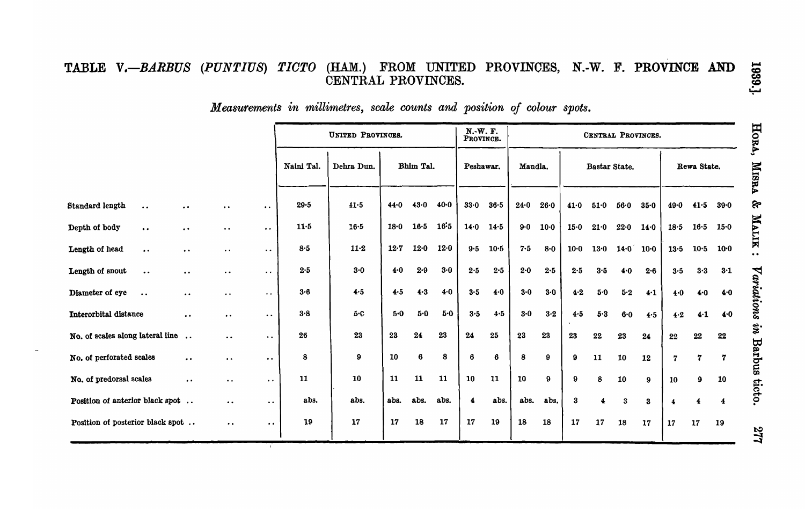## TABLE *V.-BARBUS (PUNTIUS) TIOTO* (HAM.) FROM UNITED PROVINCES, N.-W. F. PROVINCE AND CENTRAL PROVINCES.

 $M$ easurements in millimetres, scale counts and position of colour spots.

|                                                                 |                      |                      | UNITED PROVINCES. |                         | N.-W. F.<br>PROVINCE. |           |         |                         |          | CENTRAL PROVINCES. |               |             |             |             |       |                |                  |          |
|-----------------------------------------------------------------|----------------------|----------------------|-------------------|-------------------------|-----------------------|-----------|---------|-------------------------|----------|--------------------|---------------|-------------|-------------|-------------|-------|----------------|------------------|----------|
|                                                                 |                      |                      | Naini Tal.        | Bhim Tal.<br>Dehra Dun. |                       | Peshawar. |         | Mandla.                 |          |                    | Bastar State. |             | Rewa State. |             |       |                |                  |          |
| Standard length<br>$\ddot{\phantom{0}}$<br>$\ddot{\phantom{0}}$ | . .                  | $\bullet$ $\bullet$  | $29 - 5$          | 41.5                    | 44.0                  | $43-0$    | $40-0$  | 33.0                    | $36 - 5$ | 24.0               | 26.0          | 41.0        | 51.0        | 56.0        | 35.0  | 49.0           | 41.5             | $39 - 0$ |
| Depth of body<br>$\bullet$ $\bullet$<br>$\ddot{\phantom{1}}$    | $\bullet$ $\bullet$  | $\bullet$            | $11-5$            | $16 - 5$                | 18.0                  | $16-5$    | 16:5    | 14.0                    | 14.5     | $9-0$              | $10 - 0$      | $15-0$      | 21.0        | 22.0        | 14.0  | 18.5           | $16-5$           | 15.0     |
| Length of head<br>$\bullet$ $\bullet$<br>$\bullet$ $\bullet$    | $\bullet$ $\bullet$  | $\ddot{\phantom{0}}$ | 8.5               | $11 - 2$                | $12 - 7$              | $12-0$    | 12.0    | 9.5                     | $10-5$   | $7 - 5$            | $8 - 0$       | $10-0$      | 13.0        | $14.0$ 10.0 |       | 13.5           | 10.5             | $10 - 0$ |
| Length of snout<br>$\bullet\,\bullet$<br>$\bullet$ $\bullet$    | $\cdot$ $\cdot$      | $\cdot$ .            | 2.5               | $3 - 0$                 | 4.0                   | $2 - 9$   | $3 - 0$ | 2.5                     | $2 - 5$  | 2.0                | 2.5           | 2.5         | 3.5         | 4.0         | 2.6   | 3.5            | $3-3$            | 3.1      |
| Diameter of eye<br>$\bullet$ $\bullet$<br>$\bullet$ $\bullet$   | $\bullet$ $\bullet$  | $\bullet$ $\bullet$  | $3-6$             | 4.5                     | 4.5                   | $4 - 3$   | $4-0$   | 3.5                     | 4.0      | $3 - 0$            | $3 - 0$       | 4.2         | $5-0$       | 5.2         | $4-1$ | 4.0            | 4.0              | 4.0      |
| Interorbital distance<br>$\ddot{\phantom{a}}$                   | $\cdot$ .            | $\bullet$ $\bullet$  | 3.8               | 5.C                     | 5.0                   | $5-0$     | 5.0     | 3.5                     | 4.5      | $3 - 0$            | $3-2$         | 4.5         | 5.3         | 6.0         | 4.5   | 4.2            | $4 - 1$          | 4.0      |
| No. of scales along lateral line<br>$\ddot{\phantom{a}}$        | $\ddot{\phantom{a}}$ | $\bullet$ $\bullet$  | 26                | 23                      | 23                    | 24        | 23      | 24                      | 25       | 23                 | 23            | 23          | $\bf{22}$   | 23          | 24    | 22             | 22               | 22       |
| No. of perforated scales<br>$\bullet$ $\bullet$                 | $\bullet$ $\bullet$  | $\bullet$ .          | 8                 | 9                       | 10                    | 6         | 8       | 6                       | 6        | 8                  | 9             | $9^{\circ}$ | 11          | 10          | 12    | $\overline{7}$ | $\boldsymbol{7}$ | 7        |
| No. of predorsal scales<br>$\bullet$ $\bullet$                  | $\bullet$ .          | $\bullet$ $\bullet$  | 11                | 10                      | 11                    | 11        | 11      | 10                      | 11       | 10                 | 9             | 9           | 8           | 10          | 9     | 10             | 9                | 10       |
| Position of anterior black spot                                 | $\bullet$ .          | $\bullet$ $\bullet$  | abs.              | abs.                    | abs.                  | abs.      | abs.    | $\overline{\mathbf{4}}$ | abs.     | abs.               | abs.          | 3           | 4           | 3           | 3     | 4              | 4                | 4        |
| Position of posterior black spot                                | $\bullet$ $\bullet$  | $\bullet$ $\bullet$  | 19                | 17                      | 17                    | 18        | 17      | 17                      | 19       | 18                 | 18            | 17          | 17          | 18          | 17    | 17             | 17               | 19       |
|                                                                 |                      |                      |                   |                         |                       |           |         |                         |          |                    |               |             |             |             |       |                |                  |          |

HORA, MISRA & MALIK : Variations in Barbus ticto.

1939.]

277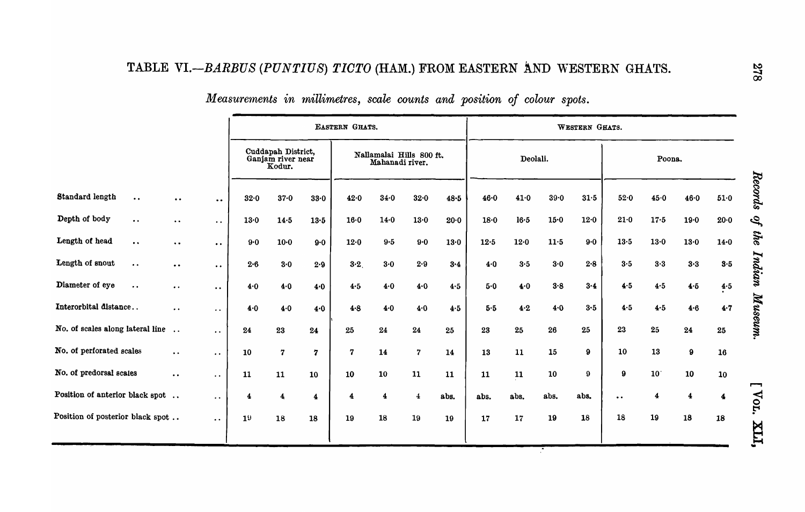# TABLE VI.-BARBUS (PUNTIUS) TICTO (HAM.) FROM EASTERN AND WESTERN GHATS.

|                                         |                      |                      |         |                                                   |                         | EASTERN GHATS.          |                                             |                |         | WESTERN GHATS. |            |          |                       |                     |                         |                         |          |  |
|-----------------------------------------|----------------------|----------------------|---------|---------------------------------------------------|-------------------------|-------------------------|---------------------------------------------|----------------|---------|----------------|------------|----------|-----------------------|---------------------|-------------------------|-------------------------|----------|--|
|                                         |                      |                      |         | Cuddapah District,<br>Ganjam river near<br>Kodur. |                         |                         | Nallamalai Hills 800 ft.<br>Mahanadi river. |                |         |                | Deolali.   |          |                       |                     | Poona.                  |                         |          |  |
| Standard length<br>$\bullet$ $\bullet$  | $\bullet$ $\bullet$  | $\ddot{\phantom{0}}$ | 32.0    | 37.0                                              | 33.0                    | 42.0                    | 34.0                                        | 32.0           | 48.5    | 46.0           | 41.0       | $39 - 0$ | 31.5                  | 52.0                | 45.0                    | 46.0                    | 51.0     |  |
| Depth of body<br>$\ddot{\phantom{a}}$   | $\ddot{\phantom{0}}$ | $\ddot{\phantom{0}}$ | 13.0    | 14.5                                              | 13.5                    | $16 - 0$                | $14-0$                                      | $13 - 0$       | 20.0    | 18.0           | $16·5$     | 15.0     | 12.0                  | 21.0                | 17.5                    | 19.0                    | $20 - 0$ |  |
| Length of head<br>$\bullet$ $\bullet$   | $\bullet$ $\bullet$  | $\bullet$ $\bullet$  | 9.0     | $10 - 0$                                          | $9-0$                   | 12.0                    | $9.5\,$                                     | 9.0            | $13-0$  | 12.5           | 12.0       | 11.5     | 9·0                   | 13.5                | 13.0                    | 13.0                    | 14.0     |  |
| Length of snout<br>$\ddot{\phantom{a}}$ | $\bullet$ $\bullet$  | $\bullet$ $\bullet$  | $2 - 6$ | $3 - 0$                                           | 2.9                     | 3.2                     | 3.0                                         | 2.9            | $3 - 4$ | 4.0            | 3.5        | 3.0      | 2.8                   | 3.5                 | 3.3                     | 3.3                     | 3.5      |  |
| Diameter of eye<br>$\bullet\, \bullet$  | $\bullet$ $\bullet$  | $\bullet$ $\bullet$  | 4.0     | 4.0                                               | 4.0                     | 4.5                     | 4.0                                         | 4.0            | 4.5     | 5.0            | 4.0        | 3.8      | 3.4                   | 4.5                 | 4.5                     | 4.5                     | 4.5      |  |
| Interorbital distance                   | $\bullet$ $\bullet$  | $\bullet$ $\bullet$  | 4.0     | 4.0                                               | 4.0                     | 4.8                     | 4.0                                         | 4.0            | 4.5     | 5.5            | $4-2$      | 4.0      | 3.5                   | 4.5                 | 4.5                     | 4.6                     | 4.7      |  |
| No. of scales along lateral line        |                      | $\bullet$ $\bullet$  | 24      | ${\bf 23}$                                        | $\bf 24$                | 25                      | 24                                          | 24             | 25      | 23             | 25         | 26       | 25                    | 23                  | 25                      | 24                      | 25       |  |
| No. of perforated scales                | $\bullet$ $\bullet$  | $\ddot{\phantom{0}}$ | 10      | $\overline{\mathbf{z}}$                           | 7                       | $\overline{\mathbf{z}}$ | 14                                          | $\overline{7}$ | 14      | 13             | 11         | 15       | 9                     | 10                  | 13                      | $\pmb{9}$               | 16       |  |
| No. of predorsal scates                 | $\bullet$ $\bullet$  | $\ddot{\phantom{0}}$ | 11      | 11                                                | 10                      | 10                      | 10                                          | 11             | 11      | 11             | ${\bf 11}$ | 10       | $\boldsymbol{\Omega}$ | $\bf{9}$            | 10 <sup>°</sup>         | 10                      | 10       |  |
| Position of anterior black spot         |                      | $\ddot{\phantom{0}}$ | 4       | 4                                                 | $\overline{\mathbf{4}}$ | 4                       | $\overline{\mathbf{4}}$                     | 4              | abs.    | abs.           | abs.       | abs.     | abs.                  | $\bullet\; \bullet$ | $\overline{\mathbf{4}}$ | $\overline{\mathbf{4}}$ | 4        |  |
| Position of posterior black spot        |                      | $\ddot{\phantom{0}}$ | 19      | 18                                                | 18                      | 19                      | 18                                          | 19             | 19      | 17             | 17         | 19       | 18                    | 18                  | 19                      | 18                      | 18       |  |
|                                         |                      |                      |         |                                                   |                         |                         |                                             |                |         |                |            |          |                       |                     |                         |                         |          |  |

# *Measurements in millimetres, scale counts and position of colour spots.*